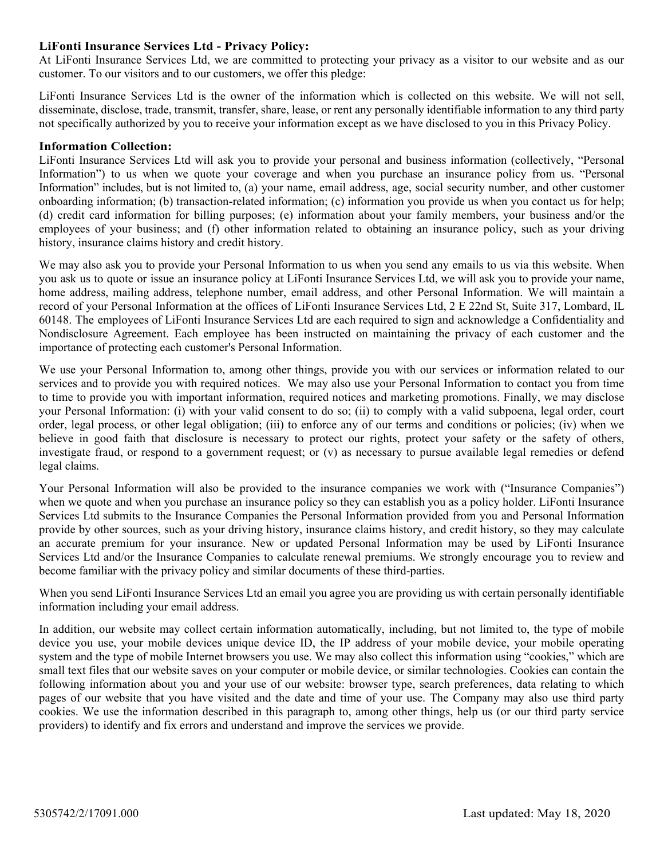## **LiFonti Insurance Services Ltd - Privacy Policy:**

At LiFonti Insurance Services Ltd, we are committed to protecting your privacy as a visitor to our website and as our customer. To our visitors and to our customers, we offer this pledge:

LiFonti Insurance Services Ltd is the owner of the information which is collected on this website. We will not sell, disseminate, disclose, trade, transmit, transfer, share, lease, or rent any personally identifiable information to any third party not specifically authorized by you to receive your information except as we have disclosed to you in this Privacy Policy.

### **Information Collection:**

LiFonti Insurance Services Ltd will ask you to provide your personal and business information (collectively, "Personal Information") to us when we quote your coverage and when you purchase an insurance policy from us. "Personal Information" includes, but is not limited to, (a) your name, email address, age, social security number, and other customer onboarding information; (b) transaction-related information; (c) information you provide us when you contact us for help; (d) credit card information for billing purposes; (e) information about your family members, your business and/or the employees of your business; and (f) other information related to obtaining an insurance policy, such as your driving history, insurance claims history and credit history.

We may also ask you to provide your Personal Information to us when you send any emails to us via this website. When you ask us to quote or issue an insurance policy at LiFonti Insurance Services Ltd, we will ask you to provide your name, home address, mailing address, telephone number, email address, and other Personal Information. We will maintain a record of your Personal Information at the offices of LiFonti Insurance Services Ltd, 2 E 22nd St, Suite 317, Lombard, IL 60148. The employees of LiFonti Insurance Services Ltd are each required to sign and acknowledge a Confidentiality and Nondisclosure Agreement. Each employee has been instructed on maintaining the privacy of each customer and the importance of protecting each customer's Personal Information.

We use your Personal Information to, among other things, provide you with our services or information related to our services and to provide you with required notices. We may also use your Personal Information to contact you from time to time to provide you with important information, required notices and marketing promotions. Finally, we may disclose your Personal Information: (i) with your valid consent to do so; (ii) to comply with a valid subpoena, legal order, court order, legal process, or other legal obligation; (iii) to enforce any of our terms and conditions or policies; (iv) when we believe in good faith that disclosure is necessary to protect our rights, protect your safety or the safety of others, investigate fraud, or respond to a government request; or (v) as necessary to pursue available legal remedies or defend legal claims.

Your Personal Information will also be provided to the insurance companies we work with ("Insurance Companies") when we quote and when you purchase an insurance policy so they can establish you as a policy holder. LiFonti Insurance Services Ltd submits to the Insurance Companies the Personal Information provided from you and Personal Information provide by other sources, such as your driving history, insurance claims history, and credit history, so they may calculate an accurate premium for your insurance. New or updated Personal Information may be used by LiFonti Insurance Services Ltd and/or the Insurance Companies to calculate renewal premiums. We strongly encourage you to review and become familiar with the privacy policy and similar documents of these third-parties.

When you send LiFonti Insurance Services Ltd an email you agree you are providing us with certain personally identifiable information including your email address.

In addition, our website may collect certain information automatically, including, but not limited to, the type of mobile device you use, your mobile devices unique device ID, the IP address of your mobile device, your mobile operating system and the type of mobile Internet browsers you use. We may also collect this information using "cookies," which are small text files that our website saves on your computer or mobile device, or similar technologies. Cookies can contain the following information about you and your use of our website: browser type, search preferences, data relating to which pages of our website that you have visited and the date and time of your use. The Company may also use third party cookies. We use the information described in this paragraph to, among other things, help us (or our third party service providers) to identify and fix errors and understand and improve the services we provide.